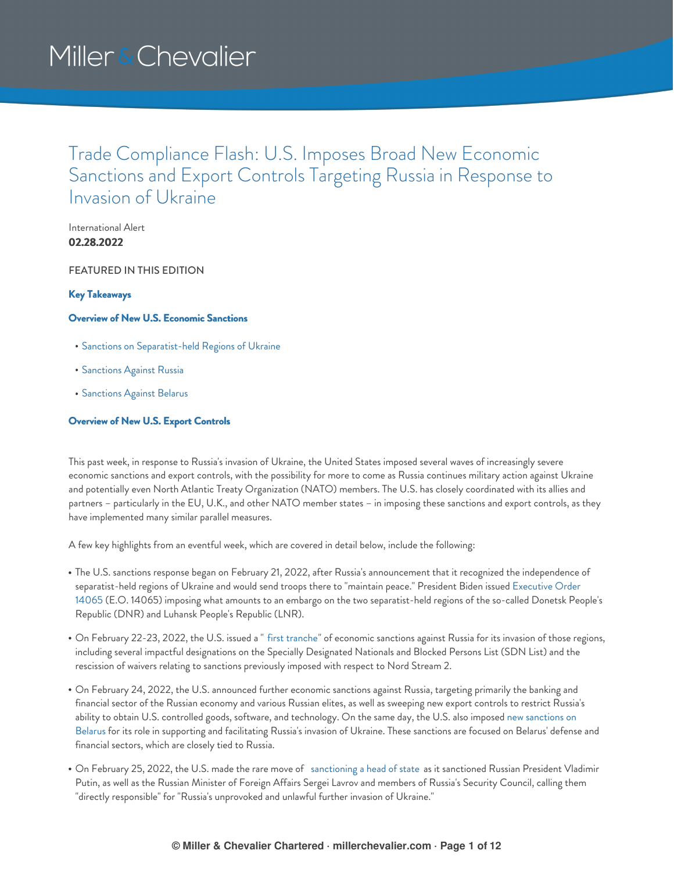### Trade Compliance Flash: U.S. Imposes Broad New Economic Sanctions and Export Controls Targeting Russia in Response to Invasion of Ukraine

International Alert **02.28.2022**

FEATURED IN THIS EDITION

### **Key [Takeaways](#page-1-0)**

### **Overview of New U.S. [Economic](#page-2-0) Sanctions**

- Sanctions on [Separatist-held](#page-2-1) Regions of Ukraine
- **[Sanctions](#page-2-2) Against Russia**
- [Sanctions](#page-8-0) Against Belarus

### **[Overview](#page-8-1) of New U.S. Export Controls**

This past week, in response to Russia's invasion of Ukraine, the United States imposed several waves of increasingly severe economic sanctions and export controls, with the possibility for more to come as Russia continues military action against Ukraine and potentially even North Atlantic Treaty Organization (NATO) members. The U.S. has closely coordinated with its allies and partners – particularly in the EU, U.K., and other NATO member states – in imposing these sanctions and export controls, as they have implemented many similar parallel measures.

A few key highlights from an eventful week, which are covered in detail below, include the following:

- The U.S. sanctions response began on February 21, 2022, after Russia's announcement that it recognized the independence of separatist-held regions of Ukraine and would send troops there to "maintain peace." President Biden issued Executive Order 14065 (E.O. 14065) imposing what amounts to an embargo on the two [separatist-held](https://www.federalregister.gov/documents/2022/02/23/2022-04020/blocking-property-of-certain-persons-and-prohibiting-certain-transactions-with-respect-to-continued) regions of the so-called Donetsk People's Republic (DNR) and Luhansk People's Republic (LNR).
- On February 22-23, 2022, the U.S. issued a " first [tranche](https://home.treasury.gov/news/press-releases/jy0602)" of economic sanctions against Russia for its invasion of those regions, including several impactful designations on the Specially Designated Nationals and Blocked Persons List (SDN List) and the rescission of waivers relating to sanctions previously imposed with respect to Nord Stream 2.
- On February 24, 2022, the U.S. announced further economic sanctions against Russia, targeting primarily the banking and financial sector of the Russian economy and various Russian elites, as well as sweeping new export controls to restrict Russia's ability to obtain U.S. controlled goods, software, and [technology.](https://home.treasury.gov/news/press-releases/jy0607) On the same day, the U.S. also imposed new sanctions on Belarus for its role in supporting and facilitating Russia's invasion of Ukraine. These sanctions are focused on Belarus' defense and financial sectors, which are closely tied to Russia.
- On February 25, 2022, the U.S. made the rare move of [sanctioning](https://home.treasury.gov/news/press-releases/jy0610) a head of state as it sanctioned Russian President Vladimir Putin, as well as the Russian Minister of Foreign Affairs Sergei Lavrov and members of Russia's Security Council, calling them "directly responsible" for "Russia's unprovoked and unlawful further invasion of Ukraine."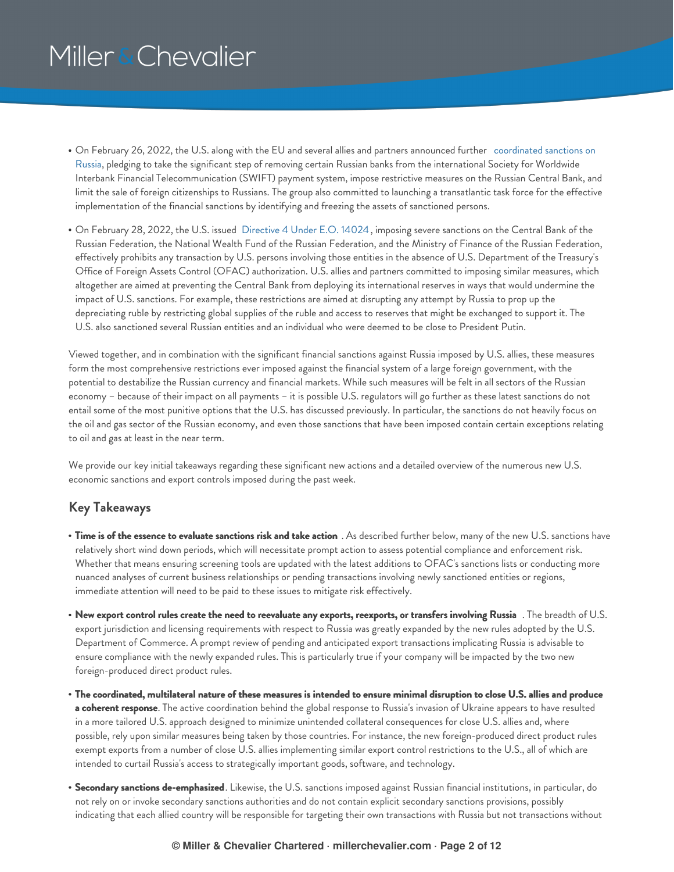- On February 26, 2022, the U.S. along with the EU and several allies and partners announced further coordinated sanctions on Russia, pledging to take the significant step of removing certain Russian banks from the [international](https://www.whitehouse.gov/briefing-room/statements-releases/2022/02/26/joint-statement-on-further-restrictive-economic-measures/) Society for Worldwide Interbank Financial Telecommunication (SWIFT) payment system, impose restrictive measures on the Russian Central Bank, and limit the sale of foreign citizenships to Russians. The group also committed to launching a transatlantic task force for the effective implementation of the financial sanctions by identifying and freezing the assets of sanctioned persons.
- On February 28, 2022, the U.S. issued [Directive](https://www.whitehouse.gov/briefing-room/statements-releases/2022/02/26/joint-statement-on-further-restrictive-economic-measures/) 4 Under E.O. 14024, imposing severe sanctions on the Central Bank of the Russian Federation, the National Wealth Fund of the Russian Federation, and the Ministry of Finance of the Russian Federation, effectively prohibits any transaction by U.S. persons involving those entities in the absence of U.S. Department of the Treasury's Office of Foreign Assets Control (OFAC) authorization. U.S. allies and partners committed to imposing similar measures, which altogether are aimed at preventing the Central Bank from deploying its international reserves in ways that would undermine the impact of U.S. sanctions. For example, these restrictions are aimed at disrupting any attempt by Russia to prop up the depreciating ruble by restricting global supplies of the ruble and access to reserves that might be exchanged to support it. The U.S. also sanctioned several Russian entities and an individual who were deemed to be close to President Putin.

Viewed together, and in combination with the significant financial sanctions against Russia imposed by U.S. allies, these measures form the most comprehensive restrictions ever imposed against the financial system of a large foreign government, with the potential to destabilize the Russian currency and financial markets. While such measures will be felt in all sectors of the Russian economy – because of their impact on all payments – it is possible U.S. regulators will go further as these latest sanctions do not entail some of the most punitive options that the U.S. has discussed previously. In particular, the sanctions do not heavily focus on the oil and gas sector of the Russian economy, and even those sanctions that have been imposed contain certain exceptions relating to oil and gas at least in the near term.

We provide our key initial takeaways regarding these significant new actions and a detailed overview of the numerous new U.S. economic sanctions and export controls imposed during the past week.

### <span id="page-1-0"></span>**Key Takeaways**

- **Time is of the essence to evaluate sanctions risk and take action** . As described further below, many of the new U.S. sanctions have relatively short wind down periods, which will necessitate prompt action to assess potential compliance and enforcement risk. Whether that means ensuring screening tools are updated with the latest additions to OFAC's sanctions lists or conducting more nuanced analyses of current business relationships or pending transactions involving newly sanctioned entities or regions, immediate attention will need to be paid to these issues to mitigate risk effectively.
- New export control rules create the need to reevaluate any exports, reexports, or transfers involving Russia . The breadth of U.S. export jurisdiction and licensing requirements with respect to Russia was greatly expanded by the new rules adopted by the U.S. Department of Commerce. A prompt review of pending and anticipated export transactions implicating Russia is advisable to ensure compliance with the newly expanded rules. This is particularly true if your company will be impacted by the two new foreign-produced direct product rules.
- The coordinated, multilateral nature of these measures is intended to ensure minimal disruption to close U.S. allies and produce **a coherent response**. The active coordination behind the global response to Russia's invasion of Ukraine appears to have resulted in a more tailored U.S. approach designed to minimize unintended collateral consequences for close U.S. allies and, where possible, rely upon similar measures being taken by those countries. For instance, the new foreign-produced direct product rules exempt exports from a number of close U.S. allies implementing similar export control restrictions to the U.S., all of which are intended to curtail Russia's access to strategically important goods, software, and technology.
- **Secondary sanctions de-emphasized**. Likewise, the U.S. sanctions imposed against Russian financial institutions, in particular, do not rely on or invoke secondary sanctions authorities and do not contain explicit secondary sanctions provisions, possibly indicating that each allied country will be responsible for targeting their own transactions with Russia but not transactions without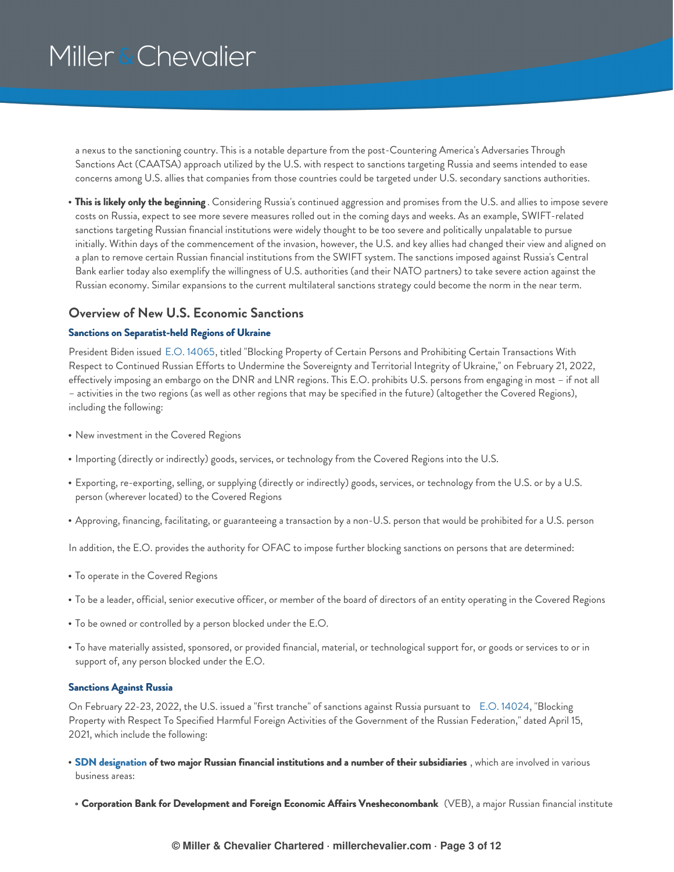a nexus to the sanctioning country. This is a notable departure from the post-Countering America's Adversaries Through Sanctions Act (CAATSA) approach utilized by the U.S. with respect to sanctions targeting Russia and seems intended to ease concerns among U.S. allies that companies from those countries could be targeted under U.S. secondary sanctions authorities.

**This is likely only the beginning** . Considering Russia's continued aggression and promises from the U.S. and allies to impose severe costs on Russia, expect to see more severe measures rolled out in the coming days and weeks. As an example, SWIFT-related sanctions targeting Russian financial institutions were widely thought to be too severe and politically unpalatable to pursue initially. Within days of the commencement of the invasion, however, the U.S. and key allies had changed their view and aligned on a plan to remove certain Russian financial institutions from the SWIFT system. The sanctions imposed against Russia's Central Bank earlier today also exemplify the willingness of U.S. authorities (and their NATO partners) to take severe action against the Russian economy. Similar expansions to the current multilateral sanctions strategy could become the norm in the near term.

### <span id="page-2-0"></span>**Overview of New U.S. Economic Sanctions**

### <span id="page-2-1"></span>**Sanctions on Separatist-held Regions of Ukraine**

President Biden issued E.O. [14065](https://www.federalregister.gov/documents/2022/02/23/2022-04020/blocking-property-of-certain-persons-and-prohibiting-certain-transactions-with-respect-to-continued), titled "Blocking Property of Certain Persons and Prohibiting Certain Transactions With Respect to Continued Russian Efforts to Undermine the Sovereignty and Territorial Integrity of Ukraine," on February 21, 2022, effectively imposing an embargo on the DNR and LNR regions. This E.O. prohibits U.S. persons from engaging in most – if not all – activities in the two regions (as well as other regions that may be specified in the future) (altogether the Covered Regions), including the following:

- New investment in the Covered Regions
- Importing (directly or indirectly) goods, services, or technology from the Covered Regions into the U.S.
- Exporting, re-exporting, selling, or supplying (directly or indirectly) goods, services, or technology from the U.S. or by a U.S. person (wherever located) to the Covered Regions
- Approving, financing, facilitating, or guaranteeing a transaction by a non-U.S. person that would be prohibited for a U.S. person

In addition, the E.O. provides the authority for OFAC to impose further blocking sanctions on persons that are determined:

- To operate in the Covered Regions
- To be a leader, official, senior executive officer, or member of the board of directors of an entity operating in the Covered Regions
- To be owned or controlled by a person blocked under the E.O.
- To have materially assisted, sponsored, or provided financial, material, or technological support for, or goods or services to or in support of, any person blocked under the E.O.

#### <span id="page-2-2"></span>**Sanctions Against Russia**

On February 22-23, 2022, the U.S. issued a "first tranche" of sanctions against Russia pursuant to E.O. [14024](https://home.treasury.gov/system/files/126/14024.pdf), "Blocking Property with Respect To Specified Harmful Foreign Activities of the Government of the Russian Federation," dated April 15, 2021, which include the following:

- **SDN [designation](https://home.treasury.gov/news/press-releases/jy0602) of two major Russian financial institutions and a number of their subsidiaries** , which are involved in various business areas:
- **Corporation Bank for Development and Foreign Economic Affairs Vnesheconombank** (VEB), a major Russian financial institute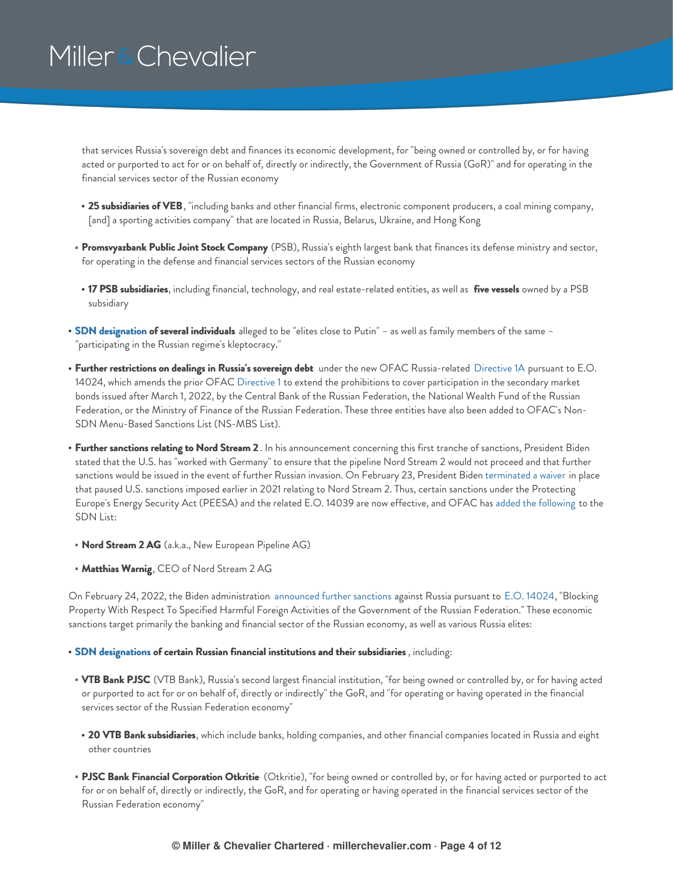that services Russia's sovereign debt and finances its economic development, for "being owned or controlled by, or for having acted or purported to act for or on behalf of, directly or indirectly, the Government of Russia (GoR)" and for operating in the financial services sector of the Russian economy

- **25 subsidiaries of VEB**, "including banks and other financial firms, electronic component producers, a coal mining company, [and] a sporting activities company" that are located in Russia, Belarus, Ukraine, and Hong Kong
- **Promsvyazbank Public Joint Stock Company** (PSB), Russia's eighth largest bank that finances its defense ministry and sector, for operating in the defense and financial services sectors of the Russian economy
- **17 PSB subsidiaries**, including financial, technology, and real estate-related entities, as well as **five vessels** owned by a PSB subsidiary
- **SDN [designation](https://home.treasury.gov/news/press-releases/jy0602) of several individuals** alleged to be "elites close to Putin" as well as family members of the same "participating in the Russian regime's kleptocracy."
- **Further restrictions on dealings in Russia's sovereign debt** under the new OFAC Russia-related [Directive](https://home.treasury.gov/system/files/126/russia_directive_1a.pdf) 1A pursuant to E.O. 14024, which amends the prior OFAC [Directive](https://home.treasury.gov/system/files/126/sovereign_debt_prohibition_directive_1.pdf) 1 to extend the prohibitions to cover participation in the secondary market bonds issued after March 1, 2022, by the Central Bank of the Russian Federation, the National Wealth Fund of the Russian Federation, or the Ministry of Finance of the Russian Federation. These three entities have also been added to OFAC's Non-SDN Menu-Based Sanctions List (NS-MBS List).
- **Further sanctions relating to Nord Stream 2** . In his announcement concerning this first tranche of sanctions, President Biden stated that the U.S. has "worked with Germany" to ensure that the pipeline Nord Stream 2 would not proceed and that further sanctions would be issued in the event of further Russian invasion. On February 23, President Biden [terminated](https://www.state.gov/sanctioning-ns2ag-matthias-warnig-and-ns2ags-corporate-officers/) a waiver in place that paused U.S. sanctions imposed earlier in 2021 relating to Nord Stream 2. Thus, certain sanctions under the Protecting Europe's Energy Security Act (PEESA) and the related E.O. 14039 are now effective, and OFAC has added the [following](https://home.treasury.gov/policy-issues/financial-sanctions/recent-actions/20220223_33) to the SDN List:
- **Nord Stream 2 AG** (a.k.a., New European Pipeline AG)
- **Matthias Warnig**, CEO of Nord Stream 2 AG

On February 24, 2022, the Biden administration [announced](https://home.treasury.gov/policy-issues/financial-sanctions/recent-actions/20220224) further sanctions against Russia pursuant to E.O. [14024](https://home.treasury.gov/system/files/126/14024.pdf), "Blocking Property With Respect To Specified Harmful Foreign Activities of the Government of the Russian Federation." These economic sanctions target primarily the banking and financial sector of the Russian economy, as well as various Russia elites:

#### **SDN [designations](https://home.treasury.gov/news/press-releases/jy0608) of certain Russian financial institutions and their subsidiaries** , including:

- **VTB Bank PJSC** (VTB Bank), Russia's second largest financial institution, "for being owned or controlled by, or for having acted or purported to act for or on behalf of, directly or indirectly" the GoR, and "for operating or having operated in the financial services sector of the Russian Federation economy"
- **20 VTB Bank subsidiaries**, which include banks, holding companies, and other financial companies located in Russia and eight other countries
- **PJSC Bank Financial Corporation Otkritie** (Otkritie), "for being owned or controlled by, or for having acted or purported to act for or on behalf of, directly or indirectly, the GoR, and for operating or having operated in the financial services sector of the Russian Federation economy"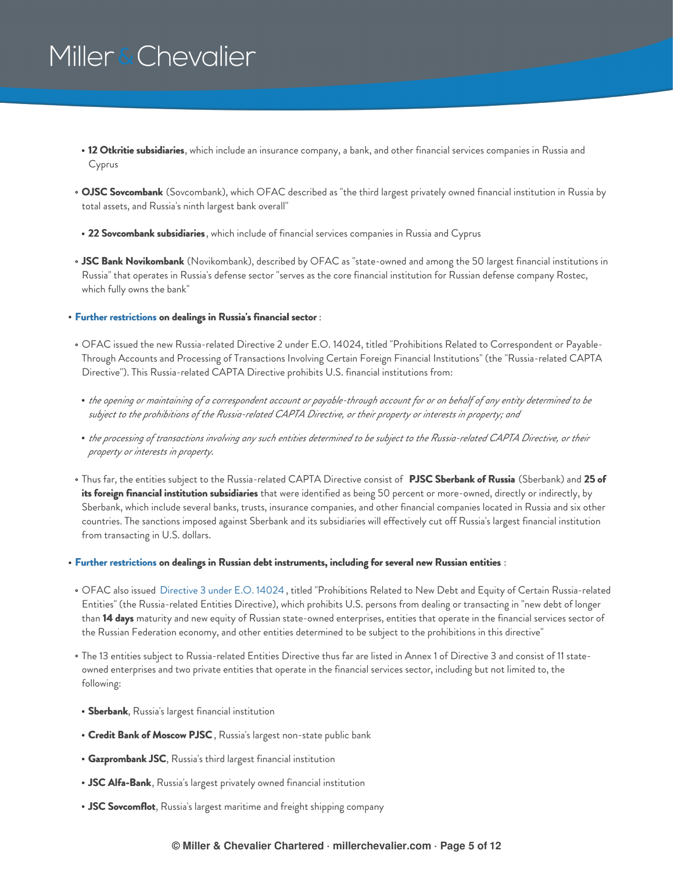- **12 Otkritie subsidiaries**, which include an insurance company, a bank, and other financial services companies in Russia and Cyprus
- **OJSC Sovcombank** (Sovcombank), which OFAC described as "the third largest privately owned financial institution in Russia by total assets, and Russia's ninth largest bank overall"
- **22 Sovcombank subsidiaries**, which include of financial services companies in Russia and Cyprus
- **JSC Bank Novikombank** (Novikombank), described by OFAC as "state-owned and among the 50 largest financial institutions in Russia" that operates in Russia's defense sector "serves as the core financial institution for Russian defense company Rostec, which fully owns the bank"
- **Further [restrictions](https://home.treasury.gov/news/press-releases/jy0608) on dealings in Russia's financial sector** :
- OFAC issued the new Russia-related Directive 2 under E.O. 14024, titled "Prohibitions Related to Correspondent or Payable-Through Accounts and Processing of Transactions Involving Certain Foreign Financial Institutions" (the "Russia-related CAPTA Directive"). This Russia-related CAPTA Directive prohibits U.S. financial institutions from:
- the opening or maintaining of a correspondent account or payable-through account for or on behalf of any entity determined to be subject to the prohibitions of the Russia-related CAPTA Directive, or their property or interests in property; and
- the processing of transactions involving any such entities determined to be subject to the Russia-related CAPTA Directive, or their *property or interests in property.*
- Thus far, the entities subject to the Russia-related CAPTA Directive consist of **PJSC Sberbank of Russia** (Sberbank) and **25 of its foreign financial institution subsidiaries** that were identified as being 50 percent or more-owned, directly or indirectly, by Sberbank, which include several banks, trusts, insurance companies, and other financial companies located in Russia and six other countries. The sanctions imposed against Sberbank and its subsidiaries will effectively cut off Russia's largest financial institution from transacting in U.S. dollars.
- **Further [restrictions](https://home.treasury.gov/news/press-releases/jy0608) on dealings in Russian debt instruments, including for several new Russian entities** :
- OFAC also issued [Directive](https://home.treasury.gov/system/files/126/new_debt_and_equity_directive_3.pdf) 3 under E.O. 14024 , titled "Prohibitions Related to New Debt and Equity of Certain Russia-related Entities" (the Russia-related Entities Directive), which prohibits U.S. persons from dealing or transacting in "new debt of longer than **14 days** maturity and new equity of Russian state-owned enterprises, entities that operate in the financial services sector of the Russian Federation economy, and other entities determined to be subject to the prohibitions in this directive"
- The 13 entities subject to Russia-related Entities Directive thus far are listed in Annex 1 of Directive 3 and consist of 11 stateowned enterprises and two private entities that operate in the financial services sector, including but not limited to, the following:
- **Sberbank**, Russia's largest financial institution
- **Credit Bank of Moscow PJSC**, Russia's largest non-state public bank
- **Gazprombank JSC**, Russia's third largest financial institution
- **JSC Alfa-Bank**, Russia's largest privately owned financial institution
- **JSC Sovcomflot**, Russia's largest maritime and freight shipping company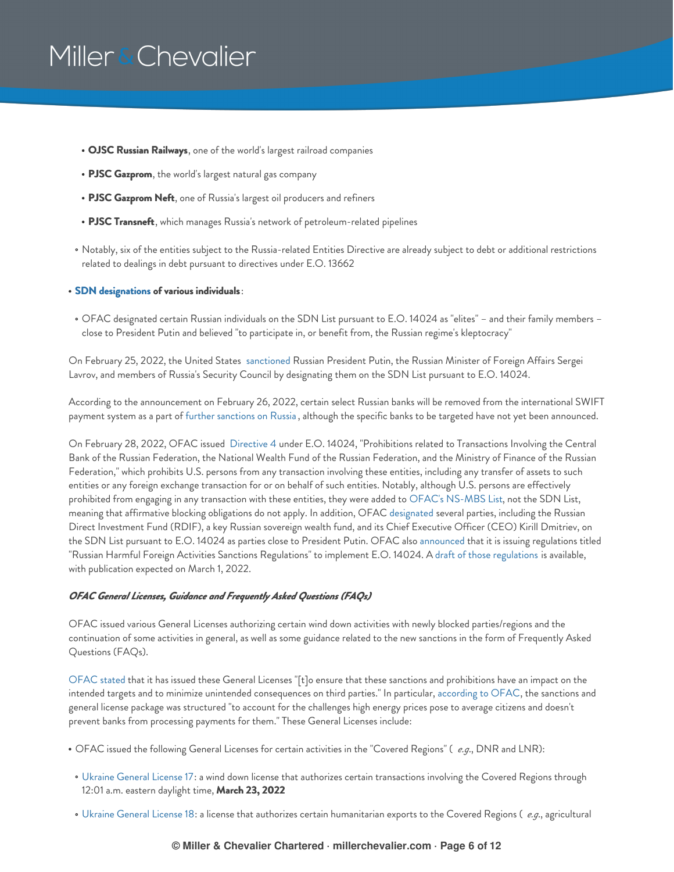- **OJSC Russian Railways**, one of the world's largest railroad companies
- **PJSC Gazprom**, the world's largest natural gas company
- **PJSC Gazprom Neft**, one of Russia's largest oil producers and refiners
- **PJSC Transneft**, which manages Russia's network of petroleum-related pipelines
- Notably, six of the entities subject to the Russia-related Entities Directive are already subject to debt or additional restrictions related to dealings in debt pursuant to directives under E.O. 13662

#### **SDN [designations](https://home.treasury.gov/news/press-releases/jy0608) of various individuals**:

OFAC designated certain Russian individuals on the SDN List pursuant to E.O. 14024 as "elites" – and their family members – close to President Putin and believed "to participate in, or benefit from, the Russian regime's kleptocracy"

On February 25, 2022, the United States [sanctioned](https://home.treasury.gov/news/press-releases/jy0610) Russian President Putin, the Russian Minister of Foreign Affairs Sergei Lavrov, and members of Russia's Security Council by designating them on the SDN List pursuant to E.O. 14024.

According to the announcement on February 26, 2022, certain select Russian banks will be removed from the international SWIFT payment system as a part of further [sanctions](https://www.whitehouse.gov/briefing-room/statements-releases/2022/02/26/joint-statement-on-further-restrictive-economic-measures/) on Russia , although the specific banks to be targeted have not yet been announced.

On February 28, 2022, OFAC issued [Directive](https://home.treasury.gov/system/files/126/eo14024_directive_4_02282022.pdf) 4 under E.O. 14024, "Prohibitions related to Transactions Involving the Central Bank of the Russian Federation, the National Wealth Fund of the Russian Federation, and the Ministry of Finance of the Russian Federation," which prohibits U.S. persons from any transaction involving these entities, including any transfer of assets to such entities or any foreign exchange transaction for or on behalf of such entities. Notably, although U.S. persons are effectively prohibited from engaging in any transaction with these entities, they were added to OFAC's [NS-MBS](https://home.treasury.gov/policy-issues/financial-sanctions/recent-actions/20220228) List, not the SDN List, meaning that affirmative blocking obligations do not apply. In addition, OFAC [designated](https://home.treasury.gov/news/press-releases/jy0612) several parties, including the Russian Direct Investment Fund (RDIF), a key Russian sovereign wealth fund, and its Chief Executive Officer (CEO) Kirill Dmitriev, on the SDN List pursuant to E.O. 14024 as parties close to President Putin. OFAC also [announced](https://home.treasury.gov/policy-issues/financial-sanctions/recent-actions/20220228_33) that it is issuing regulations titled "Russian Harmful Foreign Activities Sanctions Regulations" to implement E.O. 14024. A draft of those [regulations](https://home.treasury.gov/system/files/126/fr_2022-04281.pdf) is available, with publication expected on March 1, 2022.

#### *OFAC General Licenses, Guidance and Frequently Asked Questions (FAQs)*

OFAC issued various General Licenses authorizing certain wind down activities with newly blocked parties/regions and the continuation of some activities in general, as well as some guidance related to the new sanctions in the form of Frequently Asked Questions (FAQs).

[OFAC](https://home.treasury.gov/news/press-releases/jy0608) stated that it has issued these General Licenses "[t]o ensure that these sanctions and prohibitions have an impact on the intended targets and to minimize unintended consequences on third parties." In particular, [according](https://home.treasury.gov/news/press-releases/jy0608) to OFAC, the sanctions and general license package was structured "to account for the challenges high energy prices pose to average citizens and doesn't prevent banks from processing payments for them." These General Licenses include:

- OFAC issued the following General Licenses for certain activities in the "Covered Regions" ( *e.g*., DNR and LNR):
- Ukraine [General](https://home.treasury.gov/system/files/126/ukraine_gl17.pdf) License 17: a wind down license that authorizes certain transactions involving the Covered Regions through 12:01 a.m. eastern daylight time, **March 23, 2022**
- Ukraine [General](https://home.treasury.gov/system/files/126/ukraine_gl18.pdf) License 18: a license that authorizes certain humanitarian exports to the Covered Regions ( *e.g*., agricultural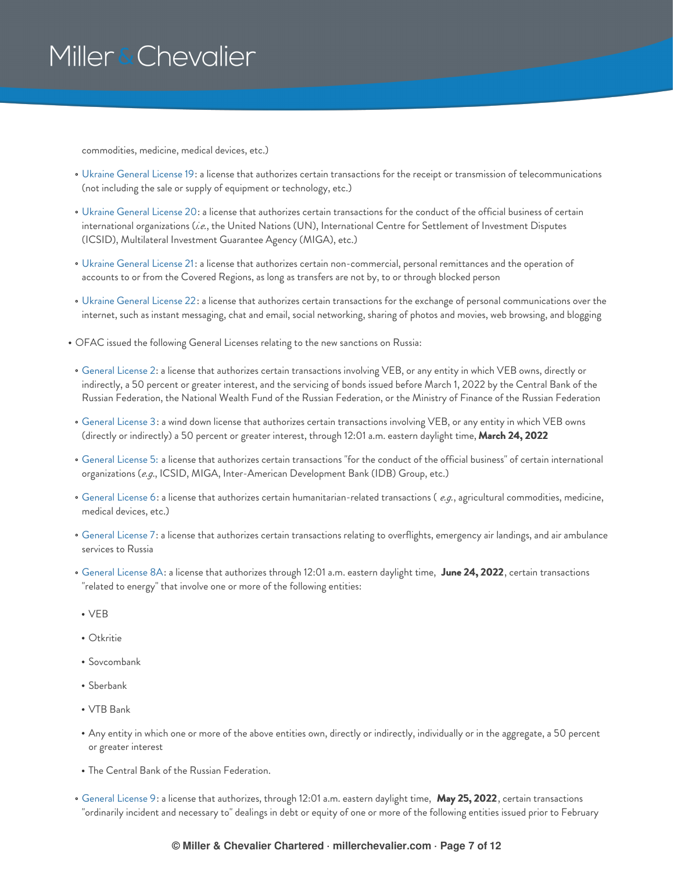commodities, medicine, medical devices, etc.)

- Ukraine [General](https://home.treasury.gov/system/files/126/ukraine_gl19.pdf) License 19: a license that authorizes certain transactions for the receipt or transmission of telecommunications (not including the sale or supply of equipment or technology, etc.)
- Ukraine [General](https://home.treasury.gov/system/files/126/ukraine_gl20.pdf) License 20: a license that authorizes certain transactions for the conduct of the official business of certain international organizations (*i.e.*, the United Nations (UN), International Centre for Settlement of Investment Disputes (ICSID), Multilateral Investment Guarantee Agency (MIGA), etc.)
- Ukraine [General](https://home.treasury.gov/system/files/126/ukraine_gl21.pdf) License 21: a license that authorizes certain non-commercial, personal remittances and the operation of accounts to or from the Covered Regions, as long as transfers are not by, to or through blocked person
- Ukraine [General](https://home.treasury.gov/system/files/126/ukraine_gl22.pdf) License 22: a license that authorizes certain transactions for the exchange of personal communications over the internet, such as instant messaging, chat and email, social networking, sharing of photos and movies, web browsing, and blogging
- OFAC issued the following General Licenses relating to the new sanctions on Russia:
- [General](https://home.treasury.gov/system/files/126/russia_gl2.pdf) License 2: a license that authorizes certain transactions involving VEB, or any entity in which VEB owns, directly or indirectly, a 50 percent or greater interest, and the servicing of bonds issued before March 1, 2022 by the Central Bank of the Russian Federation, the National Wealth Fund of the Russian Federation, or the Ministry of Finance of the Russian Federation
- [General](https://home.treasury.gov/system/files/126/russia_gl3.pdf) License 3: a wind down license that authorizes certain transactions involving VEB, or any entity in which VEB owns (directly or indirectly) a 50 percent or greater interest, through 12:01 a.m. eastern daylight time, **March 24, 2022**
- [General](https://home.treasury.gov/system/files/126/russia_gl5.pdf) License 5: a license that authorizes certain transactions "for the conduct of the official business" of certain international organizations (*e.g*., ICSID, MIGA, Inter-American Development Bank (IDB) Group, etc.)
- [General](https://home.treasury.gov/system/files/126/russia_gl6.pdf) License 6: a license that authorizes certain humanitarian-related transactions ( *e.g.*, agricultural commodities, medicine, medical devices, etc.)
- [General](https://home.treasury.gov/system/files/126/russia_gl7.pdf) License 7: a license that authorizes certain transactions relating to overflights, emergency air landings, and air ambulance services to Russia
- [General](https://home.treasury.gov/system/files/126/russia_gl8a_1.pdf) License 8A: a license that authorizes through 12:01 a.m. eastern daylight time, **June 24, 2022**, certain transactions "related to energy" that involve one or more of the following entities:
- $\cdot$  VEB
- $\bullet$  Otkritie
- Sovcombank
- Sberbank
- VTB Bank
- Any entity in which one or more of the above entities own, directly or indirectly, individually or in the aggregate, a 50 percent or greater interest
- The Central Bank of the Russian Federation.
- [General](https://home.treasury.gov/system/files/126/russia_gl9.pdf) License 9: a license that authorizes, through 12:01 a.m. eastern daylight time, **May 25, 2022**, certain transactions "ordinarily incident and necessary to" dealings in debt or equity of one or more of the following entities issued prior to February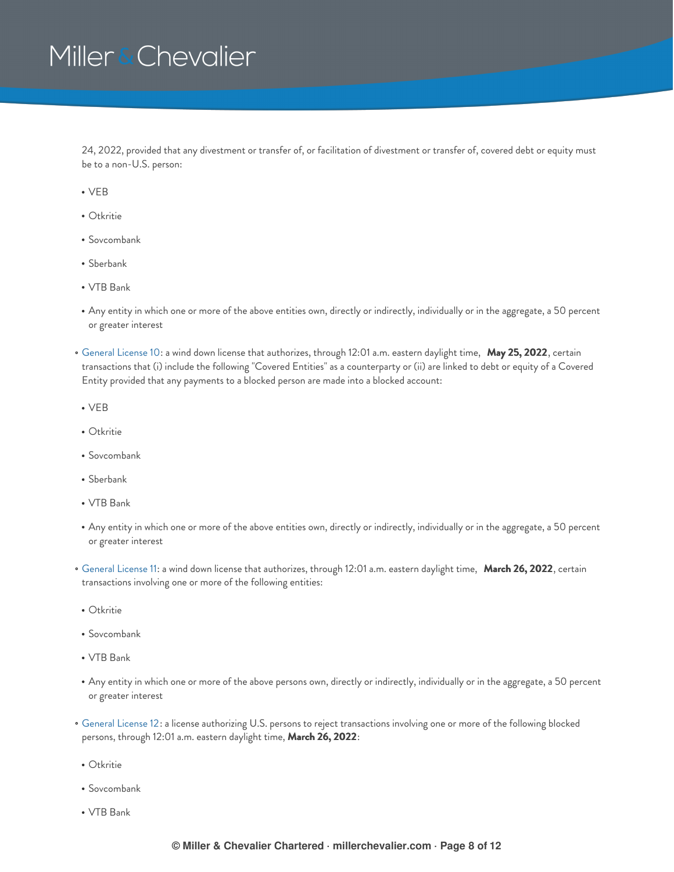24, 2022, provided that any divestment or transfer of, or facilitation of divestment or transfer of, covered debt or equity must be to a non-U.S. person:

- $\cdot$  VEB
- Otkritie
- Sovcombank
- Sberbank
- VTB Bank
- Any entity in which one or more of the above entities own, directly or indirectly, individually or in the aggregate, a 50 percent or greater interest
- [General](https://home.treasury.gov/system/files/126/russia_gl10.pdf) License 10: a wind down license that authorizes, through 12:01 a.m. eastern daylight time, **May 25, 2022**, certain transactions that (i) include the following "Covered Entities" as a counterparty or (ii) are linked to debt or equity of a Covered Entity provided that any payments to a blocked person are made into a blocked account:
- $\cdot$  VEB
- Otkritie
- Sovcombank
- Sberbank
- VTB Bank
- Any entity in which one or more of the above entities own, directly or indirectly, individually or in the aggregate, a 50 percent or greater interest
- [General](https://home.treasury.gov/system/files/126/russia_gl11.pdf) License 11: a wind down license that authorizes, through 12:01 a.m. eastern daylight time, **March 26, 2022**, certain transactions involving one or more of the following entities:
- Otkritie
- Sovcombank
- VTB Bank
- Any entity in which one or more of the above persons own, directly or indirectly, individually or in the aggregate, a 50 percent or greater interest
- [General](https://home.treasury.gov/system/files/126/russia_gl12.pdf) License 12: a license authorizing U.S. persons to reject transactions involving one or more of the following blocked persons, through 12:01 a.m. eastern daylight time, **March 26, 2022**:
- Otkritie
- Sovcombank
- VTB Bank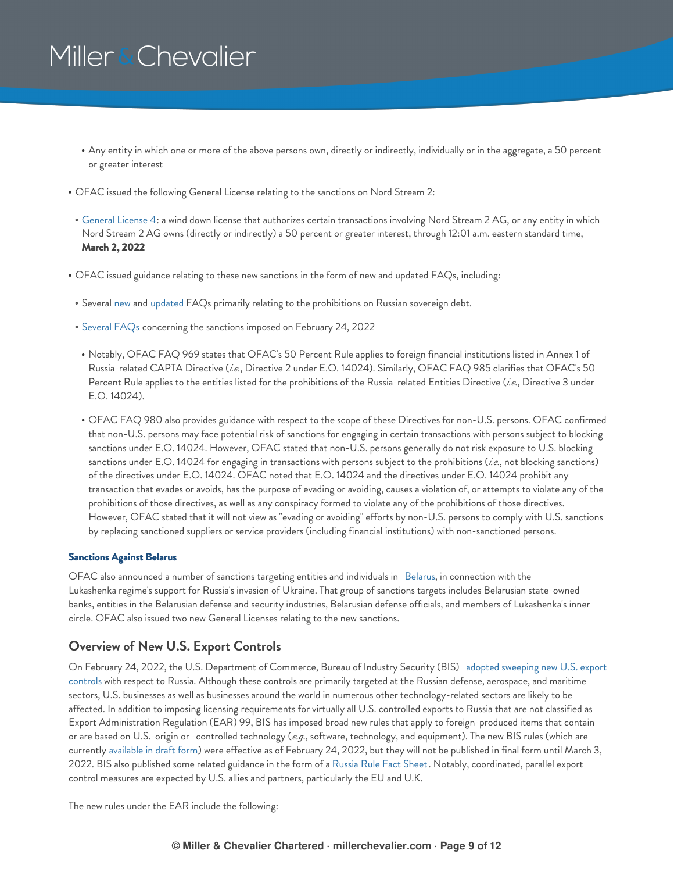- Any entity in which one or more of the above persons own, directly or indirectly, individually or in the aggregate, a 50 percent or greater interest
- OFAC issued the following General License relating to the sanctions on Nord Stream 2:
- [General](https://home.treasury.gov/system/files/126/peesa_gl4.pdf) License 4: a wind down license that authorizes certain transactions involving Nord Stream 2 AG, or any entity in which Nord Stream 2 AG owns (directly or indirectly) a 50 percent or greater interest, through 12:01 a.m. eastern standard time, **March 2, 2022**
- OFAC issued guidance relating to these new sanctions in the form of new and updated FAQs, including:
- Several [new](https://home.treasury.gov/policy-issues/financial-sanctions/faq/added/2022-02-22) and [updated](https://home.treasury.gov/policy-issues/financial-sanctions/faq/updated/2022-02-22) FAQs primarily relating to the prohibitions on Russian sovereign debt.
- [Several](https://home.treasury.gov/policy-issues/financial-sanctions/faq/added/2022-02-24) FAQs concerning the sanctions imposed on February 24, 2022
- Notably, OFAC FAQ 969 states that OFAC's 50 Percent Rule applies to foreign financial institutions listed in Annex 1 of Russia-related CAPTA Directive (*i.e*., Directive 2 under E.O. 14024). Similarly, OFAC FAQ 985 clarifies that OFAC's 50 Percent Rule applies to the entities listed for the prohibitions of the Russia-related Entities Directive (*i.e*., Directive 3 under E.O. 14024).
- OFAC FAQ 980 also provides guidance with respect to the scope of these Directives for non-U.S. persons. OFAC confirmed that non-U.S. persons may face potential risk of sanctions for engaging in certain transactions with persons subject to blocking sanctions under E.O. 14024. However, OFAC stated that non-U.S. persons generally do not risk exposure to U.S. blocking sanctions under E.O. 14024 for engaging in transactions with persons subject to the prohibitions (*i.e*., not blocking sanctions) of the directives under E.O. 14024. OFAC noted that E.O. 14024 and the directives under E.O. 14024 prohibit any transaction that evades or avoids, has the purpose of evading or avoiding, causes a violation of, or attempts to violate any of the prohibitions of those directives, as well as any conspiracy formed to violate any of the prohibitions of those directives. However, OFAC stated that it will not view as "evading or avoiding" efforts by non-U.S. persons to comply with U.S. sanctions by replacing sanctioned suppliers or service providers (including financial institutions) with non-sanctioned persons.

### <span id="page-8-0"></span>**Sanctions Against Belarus**

OFAC also announced a number of sanctions targeting entities and individuals in [Belarus](https://home.treasury.gov/news/press-releases/jy0607), in connection with the Lukashenka regime's support for Russia's invasion of Ukraine. That group of sanctions targets includes Belarusian state-owned banks, entities in the Belarusian defense and security industries, Belarusian defense officials, and members of Lukashenka's inner circle. OFAC also issued two new General Licenses relating to the new sanctions.

### <span id="page-8-1"></span>**Overview of New U.S. Export Controls**

On February 24, 2022, the U.S. [Department](https://www.bis.doc.gov/index.php/documents/about-bis/newsroom/press-releases/2914-2022-02-24-bis-russia-rule-press-release-and-tweets-final/file) of Commerce, Bureau of Industry Security (BIS) adopted sweeping new U.S. export controls with respect to Russia. Although these controls are primarily targeted at the Russian defense, aerospace, and maritime sectors, U.S. businesses as well as businesses around the world in numerous other technology-related sectors are likely to be affected. In addition to imposing licensing requirements for virtually all U.S. controlled exports to Russia that are not classified as Export Administration Regulation (EAR) 99, BIS has imposed broad new rules that apply to foreign-produced items that contain or are based on U.S.-origin or -controlled technology (*e.g*., software, technology, and equipment). The new BIS rules (which are currently [available](https://public-inspection.federalregister.gov/2022-04300.pdf) in draft form) were effective as of February 24, 2022, but they will not be published in final form until March 3, 2022. BIS also published some related guidance in the form of a [Russia](https://www.commerce.gov/news/fact-sheets/2022/02/us-department-commerce-bureau-industry-and-security-russia-rule-fact-sheet) Rule Fact Sheet. Notably, coordinated, parallel export control measures are expected by U.S. allies and partners, particularly the EU and U.K.

The new rules under the EAR include the following: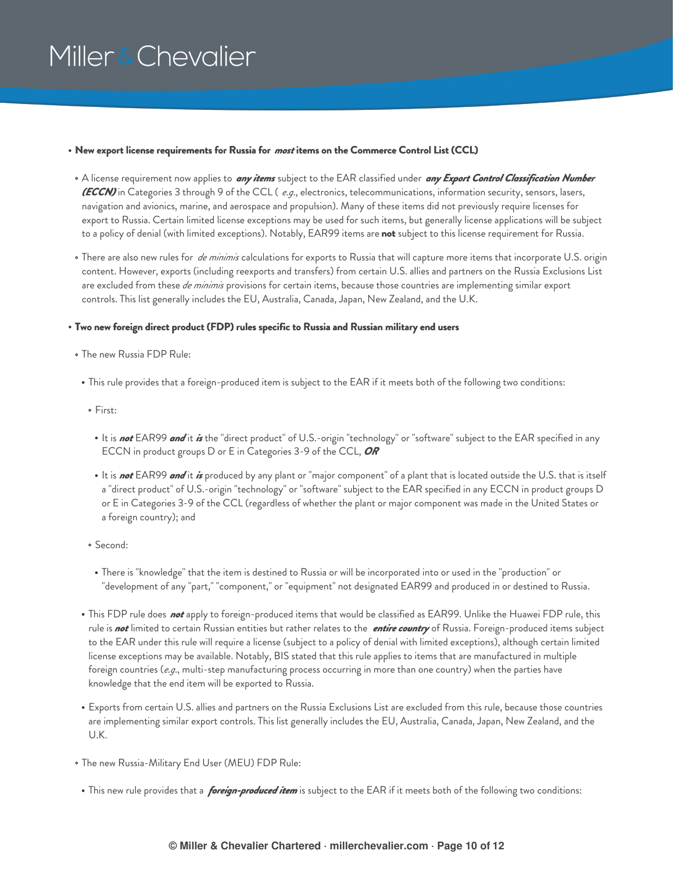#### **New export license requirements for Russia for** *most* **items on the Commerce Control List (CCL)**

- A license requirement now applies to *any items* subject to the EAR classified under *any Export Control Classification Number (ECCN)* in Categories 3 through 9 of the CCL ( *e.g*., electronics, telecommunications, information security, sensors, lasers, navigation and avionics, marine, and aerospace and propulsion). Many of these items did not previously require licenses for export to Russia. Certain limited license exceptions may be used for such items, but generally license applications will be subject to a policy of denial (with limited exceptions). Notably, EAR99 items are **not** subject to this license requirement for Russia.
- There are also new rules for *de minimis* calculations for exports to Russia that will capture more items that incorporate U.S. origin content. However, exports (including reexports and transfers) from certain U.S. allies and partners on the Russia Exclusions List are excluded from these *de minimis* provisions for certain items, because those countries are implementing similar export controls. This list generally includes the EU, Australia, Canada, Japan, New Zealand, and the U.K.

### **Two new foreign direct product (FDP) rules specific to Russia and Russian military end users**

- The new Russia FDP Rule:
- This rule provides that a foreign-produced item is subject to the EAR if it meets both of the following two conditions:
- First:
- It is *not* EAR99 *and* it *is* the "direct product" of U.S.-origin "technology" or "software" subject to the EAR specified in any ECCN in product groups D or E in Categories 3-9 of the CCL, *OR*
- It is *not* EAR99 *and* it *is* produced by any plant or "major component" of a plant that is located outside the U.S. that is itself a "direct product" of U.S.-origin "technology" or "software" subject to the EAR specified in any ECCN in product groups D or E in Categories 3-9 of the CCL (regardless of whether the plant or major component was made in the United States or a foreign country); and
- Second:
	- There is "knowledge" that the item is destined to Russia or will be incorporated into or used in the "production" or "development of any "part," "component," or "equipment" not designated EAR99 and produced in or destined to Russia.
- This FDP rule does *not* apply to foreign-produced items that would be classified as EAR99. Unlike the Huawei FDP rule, this rule is *not* limited to certain Russian entities but rather relates to the *entire country* of Russia. Foreign-produced items subject to the EAR under this rule will require a license (subject to a policy of denial with limited exceptions), although certain limited license exceptions may be available. Notably, BIS stated that this rule applies to items that are manufactured in multiple foreign countries (*e.g*., multi-step manufacturing process occurring in more than one country) when the parties have knowledge that the end item will be exported to Russia.
- Exports from certain U.S. allies and partners on the Russia Exclusions List are excluded from this rule, because those countries are implementing similar export controls. This list generally includes the EU, Australia, Canada, Japan, New Zealand, and the U.K.
- The new Russia-Military End User (MEU) FDP Rule:
- This new rule provides that a *foreign-produced item* is subject to the EAR if it meets both of the following two conditions: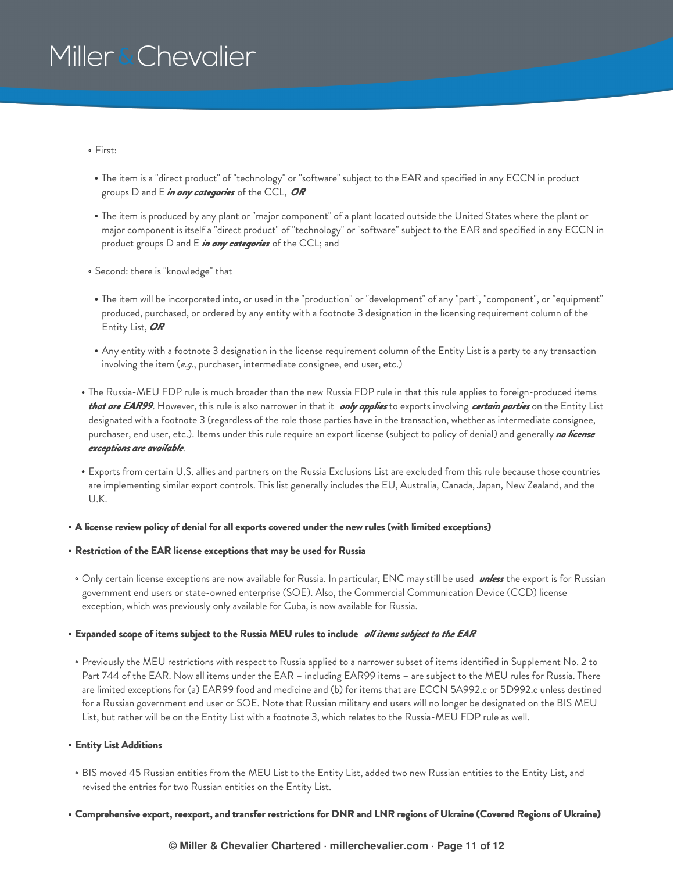- First:
- The item is a "direct product" of "technology" or "software" subject to the EAR and specified in any ECCN in product groups D and E *in any categories* of the CCL, *OR*
- The item is produced by any plant or "major component" of a plant located outside the United States where the plant or major component is itself a "direct product" of "technology" or "software" subject to the EAR and specified in any ECCN in product groups D and E *in any categories* of the CCL; and
- Second: there is "knowledge" that
- The item will be incorporated into, or used in the "production" or "development" of any "part", "component", or "equipment" produced, purchased, or ordered by any entity with a footnote 3 designation in the licensing requirement column of the Entity List, *OR*
- Any entity with a footnote 3 designation in the license requirement column of the Entity List is a party to any transaction involving the item (*e.g*., purchaser, intermediate consignee, end user, etc.)
- The Russia-MEU FDP rule is much broader than the new Russia FDP rule in that this rule applies to foreign-produced items *that are EAR99*. However, this rule is also narrower in that it *only applies* to exports involving *certain parties* on the Entity List designated with a footnote 3 (regardless of the role those parties have in the transaction, whether as intermediate consignee, purchaser, end user, etc.). Items under this rule require an export license (subject to policy of denial) and generally *no license exceptions are available*.
- Exports from certain U.S. allies and partners on the Russia Exclusions List are excluded from this rule because those countries are implementing similar export controls. This list generally includes the EU, Australia, Canada, Japan, New Zealand, and the U.K.

#### **A license review policy of denial for all exports covered under the new rules (with limited exceptions)**

#### **Restriction of the EAR license exceptions that may be used for Russia**

Only certain license exceptions are now available for Russia. In particular, ENC may still be used *unless* the export is for Russian government end users or state-owned enterprise (SOE). Also, the Commercial Communication Device (CCD) license exception, which was previously only available for Cuba, is now available for Russia.

### **Expanded scope of items subject to the Russia MEU rules to include** *all items subject to the EAR*

Previously the MEU restrictions with respect to Russia applied to a narrower subset of items identified in Supplement No. 2 to Part 744 of the EAR. Now all items under the EAR – including EAR99 items – are subject to the MEU rules for Russia. There are limited exceptions for (a) EAR99 food and medicine and (b) for items that are ECCN 5A992.c or 5D992.c unless destined for a Russian government end user or SOE. Note that Russian military end users will no longer be designated on the BIS MEU List, but rather will be on the Entity List with a footnote 3, which relates to the Russia-MEU FDP rule as well.

#### **Entity List Additions**

BIS moved 45 Russian entities from the MEU List to the Entity List, added two new Russian entities to the Entity List, and revised the entries for two Russian entities on the Entity List.

### . Comprehensive export, reexport, and transfer restrictions for DNR and LNR regions of Ukraine (Covered Regions of Ukraine)

**© Miller & Chevalier Chartered · millerchevalier.com · Page 11 of 12**